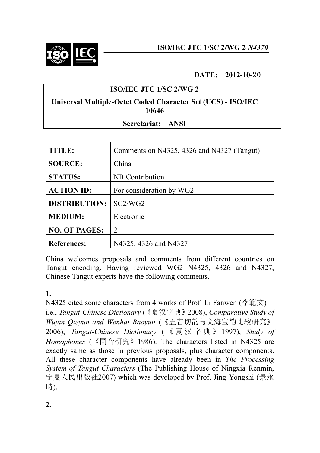

#### **DATE: 2012-10-**20

## **ISO/IEC JTC 1/SC 2/WG 2**

#### **Universal Multiple-Octet Coded Character Set (UCS) - ISO/IEC 10646**

#### **Secretariat: ANSI**

| TITLE:               | Comments on N4325, 4326 and N4327 (Tangut) |
|----------------------|--------------------------------------------|
| <b>SOURCE:</b>       | China                                      |
| <b>STATUS:</b>       | NB Contribution                            |
| <b>ACTION ID:</b>    | For consideration by WG2                   |
| <b>DISTRIBUTION:</b> | SC2/WG2                                    |
| <b>MEDIUM:</b>       | Electronic                                 |
| <b>NO. OF PAGES:</b> | $\mathcal{D}_{\mathcal{L}}$                |
| <b>References:</b>   | N4325, 4326 and N4327                      |

China welcomes proposals and comments from different countries on Tangut encoding. Having reviewed WG2 N4325, 4326 and N4327, Chinese Tangut experts have the following comments.

## **1.**

N4325 cited some characters from 4 works of Prof. Li Fanwen (李範文), i.e., *Tangut-Chinese Dictionary* (《夏汉字典》2008), *Comparative Study of Wuyin Qieyun and Wenhai Baoyun* (《五音切韵与文海宝韵比较研究》 2006), *Tangut-Chinese Dictionary* ( 《 夏 汉 字 典 》 1997), *Study of Homophones* (《同音研究》1986). The characters listed in N4325 are exactly same as those in previous proposals, plus character components. All these character components have already been in *The Processing System of Tangut Characters* (The Publishing House of Ningxia Renmin, 宁夏人民出版社2007) which was developed by Prof. Jing Yongshi (景永 時).